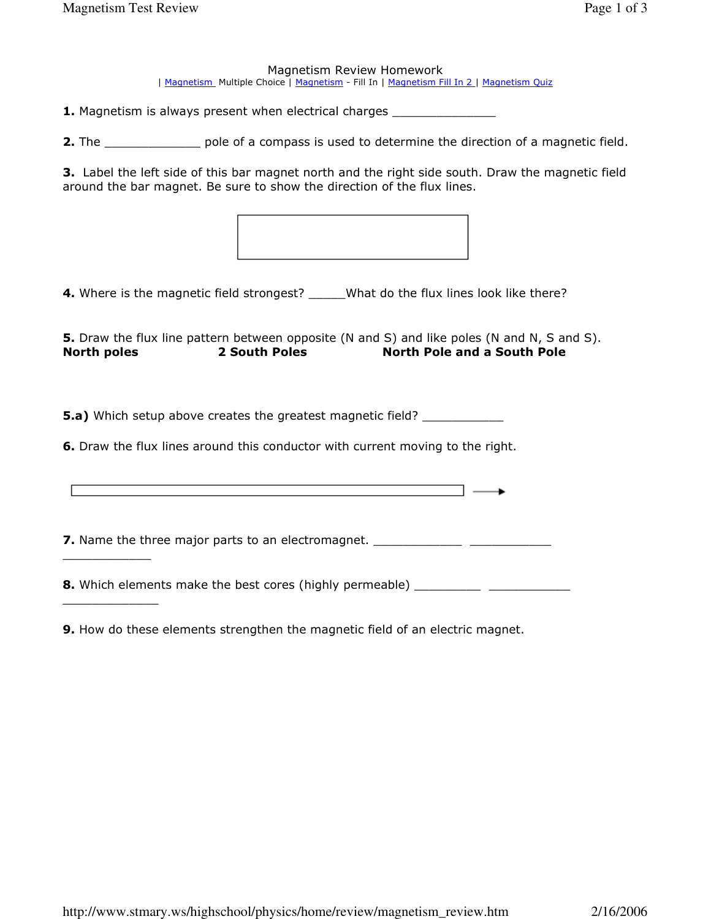\_\_\_\_\_\_\_\_\_\_\_\_

\_\_\_\_\_\_\_\_\_\_\_\_\_

## Magnetism Review Homework

| Magnetism\_Multiple Choice | Magnetism - Fill In | Magnetism Fill In 2 | Magnetism Quiz

1. Magnetism is always present when electrical charges \_\_\_\_\_\_\_\_\_\_\_\_\_\_\_\_\_\_\_\_\_\_\_\_\_

2. The state pole of a compass is used to determine the direction of a magnetic field.

3. Label the left side of this bar magnet north and the right side south. Draw the magnetic field around the bar magnet. Be sure to show the direction of the flux lines.



4. Where is the magnetic field strongest? \_\_\_\_\_What do the flux lines look like there?

5. Draw the flux line pattern between opposite (N and S) and like poles (N and N, S and S). North poles 2 South Poles North Pole and a South Pole

**5.a)** Which setup above creates the greatest magnetic field?

6. Draw the flux lines around this conductor with current moving to the right.

7. Name the three major parts to an electromagnet. \_\_\_\_\_\_\_\_\_\_\_\_\_\_\_\_\_\_\_\_\_\_\_\_\_\_\_\_\_

8. Which elements make the best cores (highly permeable) \_\_\_\_\_\_\_\_\_\_\_\_\_\_\_\_\_\_\_\_\_\_\_

9. How do these elements strengthen the magnetic field of an electric magnet.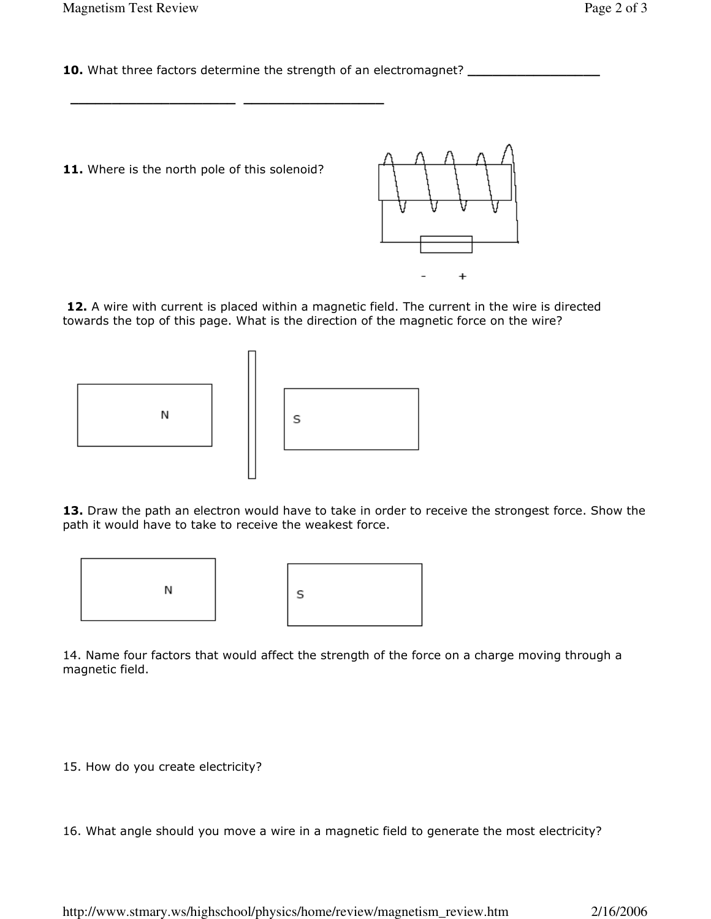10. What three factors determine the strength of an electromagnet?

11. Where is the north pole of this solenoid?

\_\_\_\_\_\_\_\_\_\_\_\_\_\_\_\_\_\_\_\_ \_\_\_\_\_\_\_\_\_\_\_\_\_\_\_\_\_



12. A wire with current is placed within a magnetic field. The current in the wire is directed towards the top of this page. What is the direction of the magnetic force on the wire?





13. Draw the path an electron would have to take in order to receive the strongest force. Show the path it would have to take to receive the weakest force.



14. Name four factors that would affect the strength of the force on a charge moving through a magnetic field.

15. How do you create electricity?

16. What angle should you move a wire in a magnetic field to generate the most electricity?

http://www.stmary.ws/highschool/physics/home/review/magnetism\_review.htm 2/16/2006